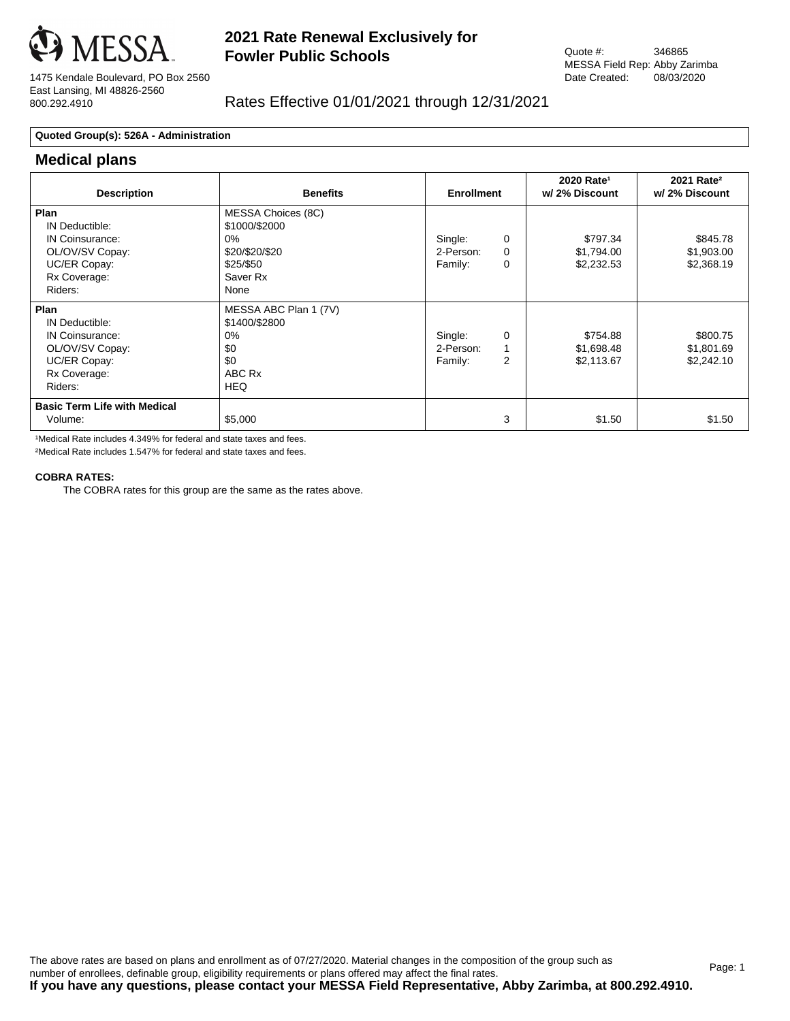

1475 Kendale Boulevard, PO Box 2560 East Lansing, MI 48826-2560 800.292.4910

## Rates Effective 01/01/2021 through 12/31/2021

### **Quoted Group(s): 526A - Administration**

### **Medical plans**

| <b>Description</b>                                                                                      | <b>Benefits</b>                                                                                 | <b>Enrollment</b>               |                    | 2020 Rate <sup>1</sup><br>w/ 2% Discount | 2021 Rate <sup>2</sup><br>w/2% Discount |
|---------------------------------------------------------------------------------------------------------|-------------------------------------------------------------------------------------------------|---------------------------------|--------------------|------------------------------------------|-----------------------------------------|
| Plan<br>IN Deductible:<br>IN Coinsurance:<br>OL/OV/SV Copay:<br>UC/ER Copay:<br>Rx Coverage:<br>Riders: | MESSA Choices (8C)<br>\$1000/\$2000<br>$0\%$<br>\$20/\$20/\$20<br>\$25/\$50<br>Saver Rx<br>None | Single:<br>2-Person:<br>Family: | 0<br>$\Omega$<br>0 | \$797.34<br>\$1,794.00<br>\$2,232.53     | \$845.78<br>\$1,903.00<br>\$2,368.19    |
| Plan<br>IN Deductible:<br>IN Coinsurance:<br>OL/OV/SV Copay:<br>UC/ER Copay:<br>Rx Coverage:<br>Riders: | MESSA ABC Plan 1 (7V)<br>\$1400/\$2800<br>$0\%$<br>\$0<br>\$0<br>ABC Rx<br><b>HEQ</b>           | Single:<br>2-Person:<br>Family: | 0<br>2             | \$754.88<br>\$1,698.48<br>\$2,113.67     | \$800.75<br>\$1,801.69<br>\$2,242.10    |
| <b>Basic Term Life with Medical</b><br>Volume:                                                          | \$5,000                                                                                         |                                 | 3                  | \$1.50                                   | \$1.50                                  |

1Medical Rate includes 4.349% for federal and state taxes and fees.

²Medical Rate includes 1.547% for federal and state taxes and fees.

### **COBRA RATES:**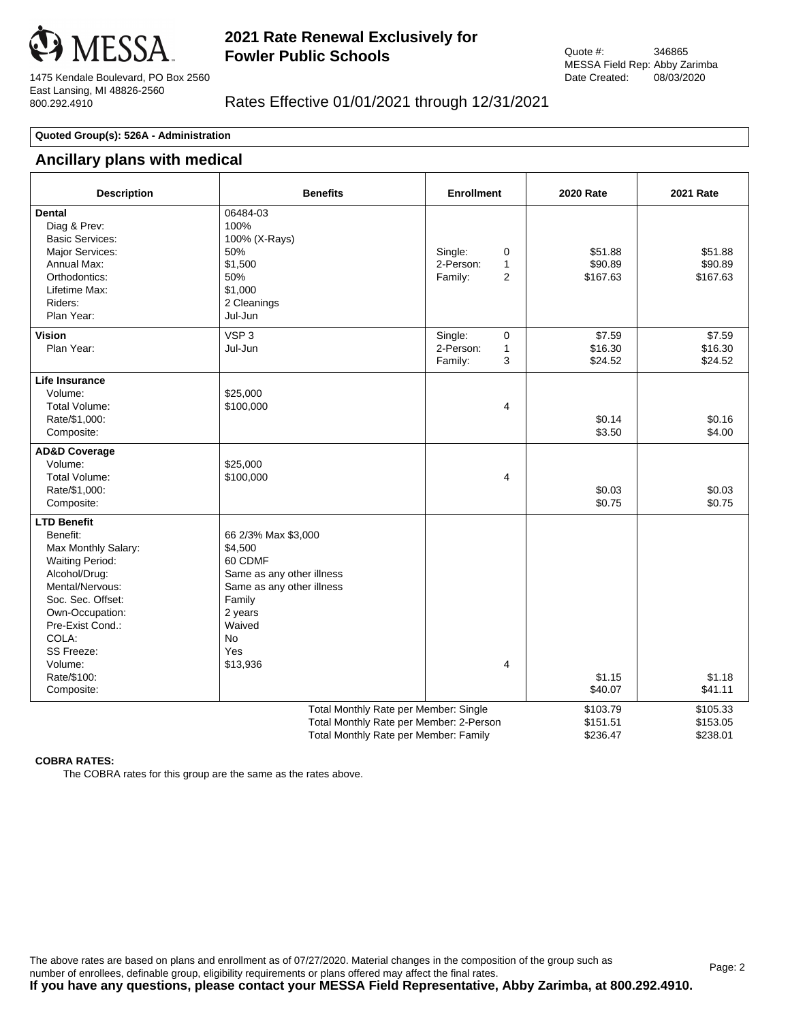

1475 Kendale Boulevard, PO Box 2560 East Lansing, MI 48826-2560 800.292.4910

## Rates Effective 01/01/2021 through 12/31/2021

### **Quoted Group(s): 526A - Administration**

### **Ancillary plans with medical**

| <b>Description</b>                                                                                                                                                                                                                             | <b>Benefits</b>                                                                                                                                                    | <b>Enrollment</b>                                                      | <b>2020 Rate</b>                 | <b>2021 Rate</b>                 |
|------------------------------------------------------------------------------------------------------------------------------------------------------------------------------------------------------------------------------------------------|--------------------------------------------------------------------------------------------------------------------------------------------------------------------|------------------------------------------------------------------------|----------------------------------|----------------------------------|
| <b>Dental</b><br>Diag & Prev:<br><b>Basic Services:</b><br>Major Services:<br>Annual Max:<br>Orthodontics:<br>Lifetime Max:<br>Riders:<br>Plan Year:                                                                                           | 06484-03<br>100%<br>100% (X-Rays)<br>50%<br>\$1,500<br>50%<br>\$1,000<br>2 Cleanings<br>Jul-Jun                                                                    | Single:<br>0<br>2-Person:<br>$\mathbf{1}$<br>Family:<br>$\overline{2}$ | \$51.88<br>\$90.89<br>\$167.63   | \$51.88<br>\$90.89<br>\$167.63   |
| <b>Vision</b><br>Plan Year:                                                                                                                                                                                                                    | VSP <sub>3</sub><br>Jul-Jun                                                                                                                                        | Single:<br>0<br>$\mathbf{1}$<br>2-Person:<br>3<br>Family:              | \$7.59<br>\$16.30<br>\$24.52     | \$7.59<br>\$16.30<br>\$24.52     |
| <b>Life Insurance</b><br>Volume:<br>Total Volume:<br>Rate/\$1,000:<br>Composite:                                                                                                                                                               | \$25,000<br>\$100,000                                                                                                                                              | 4                                                                      | \$0.14<br>\$3.50                 | \$0.16<br>\$4.00                 |
| <b>AD&amp;D Coverage</b><br>Volume:<br><b>Total Volume:</b><br>Rate/\$1,000:<br>Composite:                                                                                                                                                     | \$25,000<br>\$100,000                                                                                                                                              | $\overline{4}$                                                         | \$0.03<br>\$0.75                 | \$0.03<br>\$0.75                 |
| <b>LTD Benefit</b><br>Benefit:<br>Max Monthly Salary:<br><b>Waiting Period:</b><br>Alcohol/Drug:<br>Mental/Nervous:<br>Soc. Sec. Offset:<br>Own-Occupation:<br>Pre-Exist Cond.:<br>COLA:<br>SS Freeze:<br>Volume:<br>Rate/\$100:<br>Composite: | 66 2/3% Max \$3,000<br>\$4,500<br>60 CDMF<br>Same as any other illness<br>Same as any other illness<br>Family<br>2 years<br>Waived<br><b>No</b><br>Yes<br>\$13,936 | 4                                                                      | \$1.15<br>\$40.07                | \$1.18<br>\$41.11                |
|                                                                                                                                                                                                                                                | Total Monthly Rate per Member: Single<br>Total Monthly Rate per Member: 2-Person<br>Total Monthly Rate per Member: Family                                          |                                                                        | \$103.79<br>\$151.51<br>\$236.47 | \$105.33<br>\$153.05<br>\$238.01 |

#### **COBRA RATES:**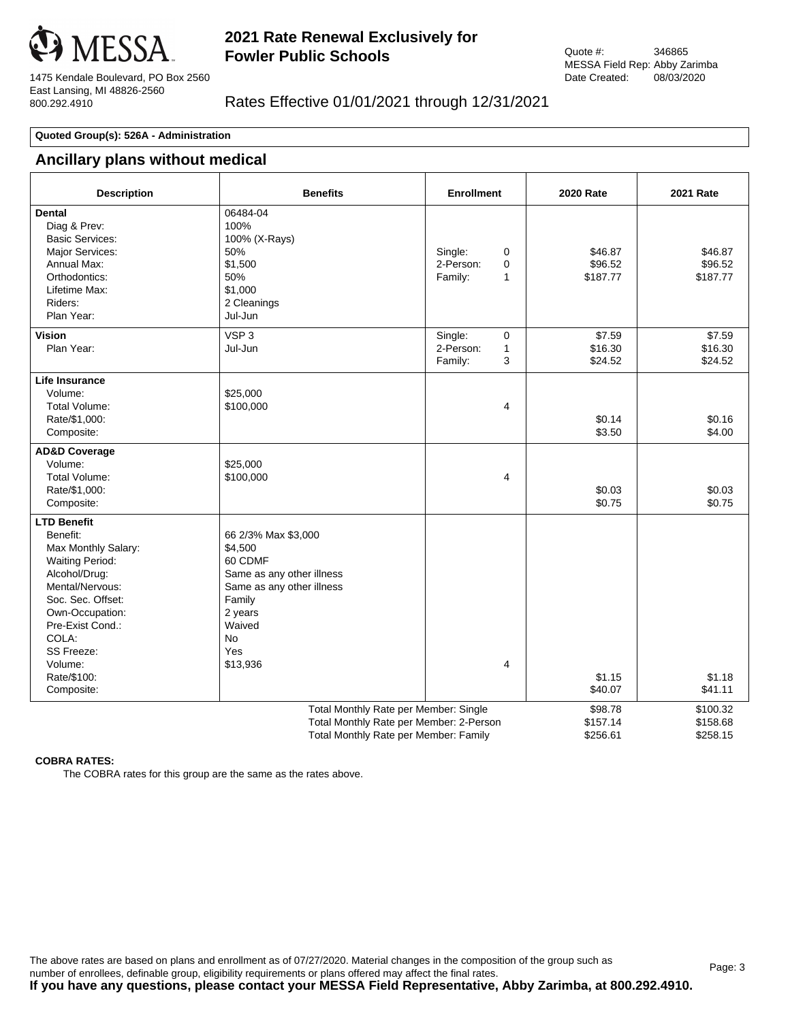

1475 Kendale Boulevard, PO Box 2560 East Lansing, MI 48826-2560 800.292.4910

## Rates Effective 01/01/2021 through 12/31/2021

#### **Quoted Group(s): 526A - Administration**

# **Ancillary plans without medical**

| <b>Description</b>                                                                                                                                                                                                                             | <b>Benefits</b>                                                                                                                                                    | <b>Enrollment</b>                                        | <b>2020 Rate</b>                | <b>2021 Rate</b>                 |
|------------------------------------------------------------------------------------------------------------------------------------------------------------------------------------------------------------------------------------------------|--------------------------------------------------------------------------------------------------------------------------------------------------------------------|----------------------------------------------------------|---------------------------------|----------------------------------|
| <b>Dental</b><br>Diag & Prev:<br><b>Basic Services:</b><br>Major Services:<br>Annual Max:<br>Orthodontics:<br>Lifetime Max:<br>Riders:<br>Plan Year:                                                                                           | 06484-04<br>100%<br>100% (X-Rays)<br>50%<br>\$1,500<br>50%<br>\$1,000<br>2 Cleanings<br>Jul-Jun                                                                    | Single:<br>0<br>2-Person:<br>0<br>Family:<br>1           | \$46.87<br>\$96.52<br>\$187.77  | \$46.87<br>\$96.52<br>\$187.77   |
| <b>Vision</b><br>Plan Year:                                                                                                                                                                                                                    | VSP <sub>3</sub><br>Jul-Jun                                                                                                                                        | Single:<br>$\mathbf 0$<br>2-Person:<br>1<br>3<br>Family: | \$7.59<br>\$16.30<br>\$24.52    | \$7.59<br>\$16.30<br>\$24.52     |
| Life Insurance<br>Volume:<br>Total Volume:<br>Rate/\$1,000:<br>Composite:                                                                                                                                                                      | \$25,000<br>\$100,000                                                                                                                                              | $\overline{4}$                                           | \$0.14<br>\$3.50                | \$0.16<br>\$4.00                 |
| <b>AD&amp;D Coverage</b><br>Volume:<br>Total Volume:<br>Rate/\$1,000:<br>Composite:                                                                                                                                                            | \$25,000<br>\$100,000                                                                                                                                              | 4                                                        | \$0.03<br>\$0.75                | \$0.03<br>\$0.75                 |
| <b>LTD Benefit</b><br>Benefit:<br>Max Monthly Salary:<br><b>Waiting Period:</b><br>Alcohol/Drug:<br>Mental/Nervous:<br>Soc. Sec. Offset:<br>Own-Occupation:<br>Pre-Exist Cond.:<br>COLA:<br>SS Freeze:<br>Volume:<br>Rate/\$100:<br>Composite: | 66 2/3% Max \$3,000<br>\$4,500<br>60 CDMF<br>Same as any other illness<br>Same as any other illness<br>Family<br>2 years<br>Waived<br><b>No</b><br>Yes<br>\$13,936 | $\overline{4}$                                           | \$1.15<br>\$40.07               | \$1.18<br>\$41.11                |
|                                                                                                                                                                                                                                                | Total Monthly Rate per Member: Single<br>Total Monthly Rate per Member: 2-Person<br>Total Monthly Rate per Member: Family                                          |                                                          | \$98.78<br>\$157.14<br>\$256.61 | \$100.32<br>\$158.68<br>\$258.15 |

### **COBRA RATES:**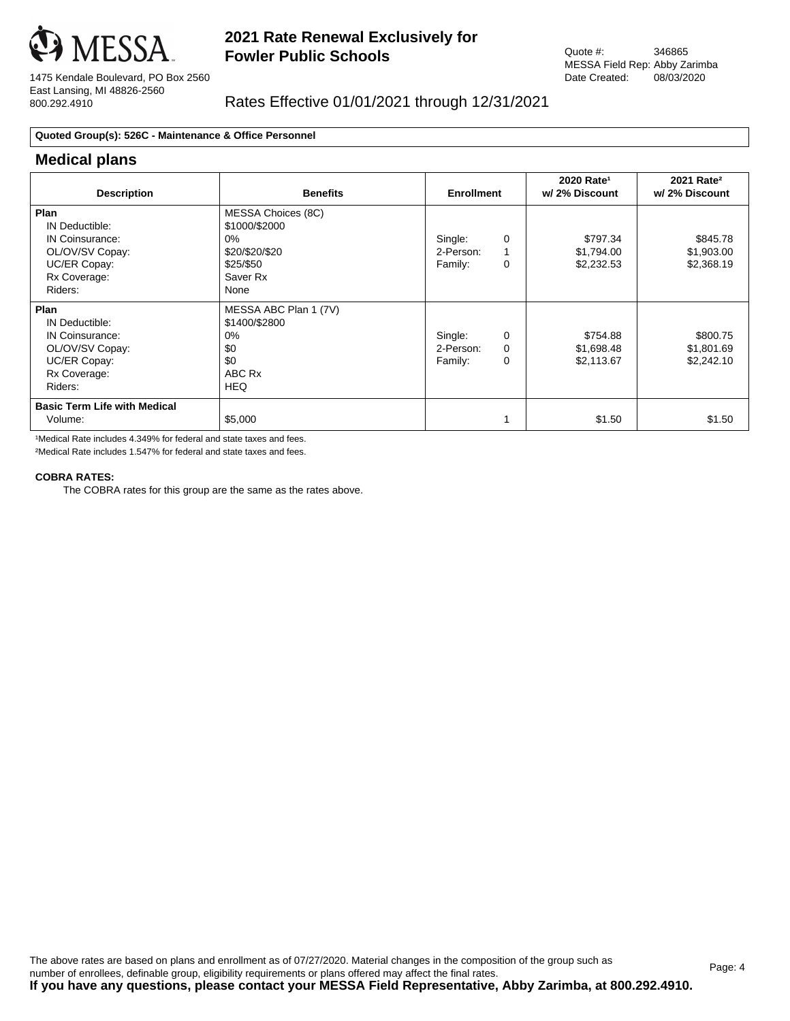

1475 Kendale Boulevard, PO Box 2560 East Lansing, MI 48826-2560 800.292.4910

## Rates Effective 01/01/2021 through 12/31/2021

### **Quoted Group(s): 526C - Maintenance & Office Personnel**

### **Medical plans**

| <b>Description</b>                                                                                      | <b>Benefits</b>                                                                                 | <b>Enrollment</b>               |                    | 2020 Rate <sup>1</sup><br>w/ 2% Discount | 2021 Rate <sup>2</sup><br>w/2% Discount |
|---------------------------------------------------------------------------------------------------------|-------------------------------------------------------------------------------------------------|---------------------------------|--------------------|------------------------------------------|-----------------------------------------|
| Plan<br>IN Deductible:<br>IN Coinsurance:<br>OL/OV/SV Copay:<br>UC/ER Copay:<br>Rx Coverage:<br>Riders: | MESSA Choices (8C)<br>\$1000/\$2000<br>$0\%$<br>\$20/\$20/\$20<br>\$25/\$50<br>Saver Rx<br>None | Single:<br>2-Person:<br>Family: | 0<br>0             | \$797.34<br>\$1,794.00<br>\$2,232.53     | \$845.78<br>\$1,903.00<br>\$2,368.19    |
| Plan<br>IN Deductible:<br>IN Coinsurance:<br>OL/OV/SV Copay:<br>UC/ER Copay:<br>Rx Coverage:<br>Riders: | MESSA ABC Plan 1 (7V)<br>\$1400/\$2800<br>$0\%$<br>\$0<br>\$0<br>ABC Rx<br><b>HEQ</b>           | Single:<br>2-Person:<br>Family: | 0<br>$\Omega$<br>0 | \$754.88<br>\$1,698.48<br>\$2,113.67     | \$800.75<br>\$1,801.69<br>\$2,242.10    |
| <b>Basic Term Life with Medical</b><br>Volume:                                                          | \$5,000                                                                                         |                                 |                    | \$1.50                                   | \$1.50                                  |

1Medical Rate includes 4.349% for federal and state taxes and fees.

²Medical Rate includes 1.547% for federal and state taxes and fees.

### **COBRA RATES:**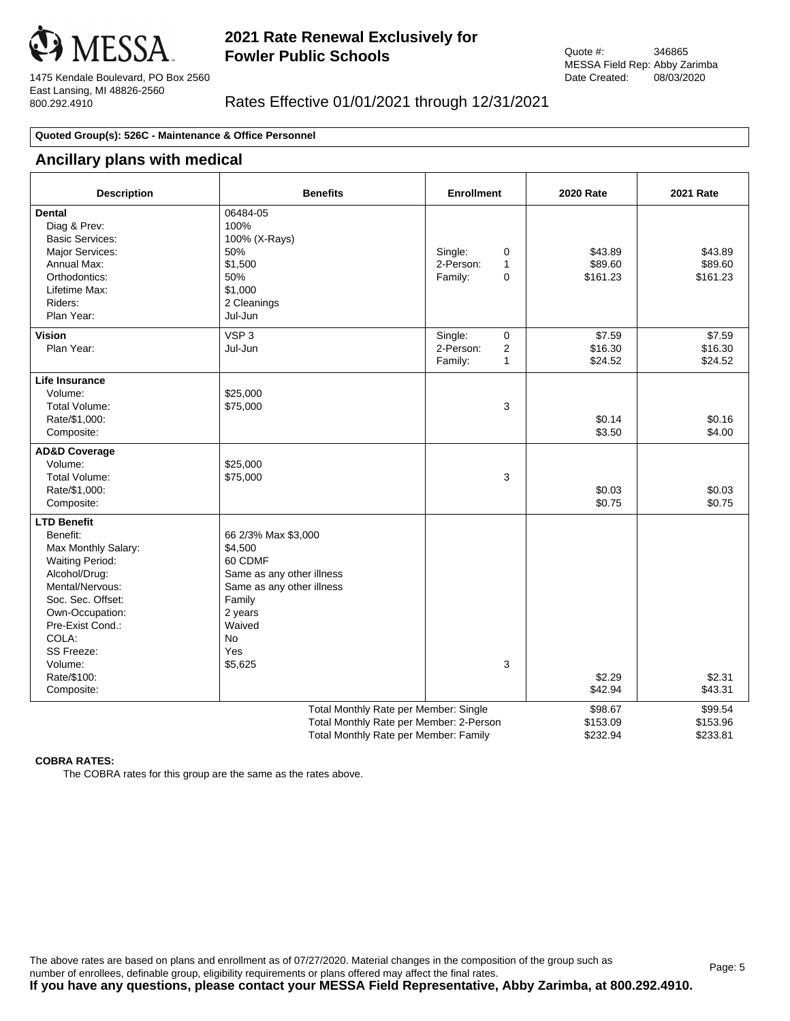

Quote #: 346865 MESSA Field Rep: Abby Zarimba Date Created: 08/03/2020

1475 Kendale Boulevard, PO Box 2560 East Lansing, MI 48826-2560 800.292.4910

## Rates Effective 01/01/2021 through 12/31/2021

### **Quoted Group(s): 526C - Maintenance & Office Personnel**

### **Ancillary plans with medical**

| <b>Description</b>                                                                                                                                                                                                                             | <b>Benefits</b>                                                                                                                                                   | <b>Enrollment</b>                                                | <b>2020 Rate</b>                | <b>2021 Rate</b>                |
|------------------------------------------------------------------------------------------------------------------------------------------------------------------------------------------------------------------------------------------------|-------------------------------------------------------------------------------------------------------------------------------------------------------------------|------------------------------------------------------------------|---------------------------------|---------------------------------|
| <b>Dental</b><br>Diag & Prev:<br><b>Basic Services:</b><br>Major Services:<br>Annual Max:<br>Orthodontics:<br>Lifetime Max:<br>Riders:<br>Plan Year:                                                                                           | 06484-05<br>100%<br>100% (X-Rays)<br>50%<br>\$1,500<br>50%<br>\$1,000<br>2 Cleanings<br>Jul-Jun                                                                   | Single:<br>0<br>2-Person:<br>$\mathbf{1}$<br>$\Omega$<br>Family: | \$43.89<br>\$89.60<br>\$161.23  | \$43.89<br>\$89.60<br>\$161.23  |
| <b>Vision</b><br>Plan Year:                                                                                                                                                                                                                    | VSP <sub>3</sub><br>Jul-Jun                                                                                                                                       | Single:<br>0<br>2-Person:<br>2<br>Family:<br>1                   | \$7.59<br>\$16.30<br>\$24.52    | \$7.59<br>\$16.30<br>\$24.52    |
| <b>Life Insurance</b><br>Volume:<br>Total Volume:<br>Rate/\$1,000:<br>Composite:                                                                                                                                                               | \$25,000<br>\$75,000                                                                                                                                              | 3                                                                | \$0.14<br>\$3.50                | \$0.16<br>\$4.00                |
| <b>AD&amp;D Coverage</b><br>Volume:<br>Total Volume:<br>Rate/\$1,000:<br>Composite:                                                                                                                                                            | \$25,000<br>\$75,000                                                                                                                                              | 3                                                                | \$0.03<br>\$0.75                | \$0.03<br>\$0.75                |
| <b>LTD Benefit</b><br>Benefit:<br>Max Monthly Salary:<br><b>Waiting Period:</b><br>Alcohol/Drug:<br>Mental/Nervous:<br>Soc. Sec. Offset:<br>Own-Occupation:<br>Pre-Exist Cond.:<br>COLA:<br>SS Freeze:<br>Volume:<br>Rate/\$100:<br>Composite: | 66 2/3% Max \$3,000<br>\$4,500<br>60 CDMF<br>Same as any other illness<br>Same as any other illness<br>Family<br>2 years<br>Waived<br><b>No</b><br>Yes<br>\$5,625 | 3                                                                | \$2.29<br>\$42.94               | \$2.31<br>\$43.31               |
|                                                                                                                                                                                                                                                | Total Monthly Rate per Member: Single<br>Total Monthly Rate per Member: 2-Person<br>Total Monthly Rate per Member: Family                                         |                                                                  | \$98.67<br>\$153.09<br>\$232.94 | \$99.54<br>\$153.96<br>\$233.81 |

#### **COBRA RATES:**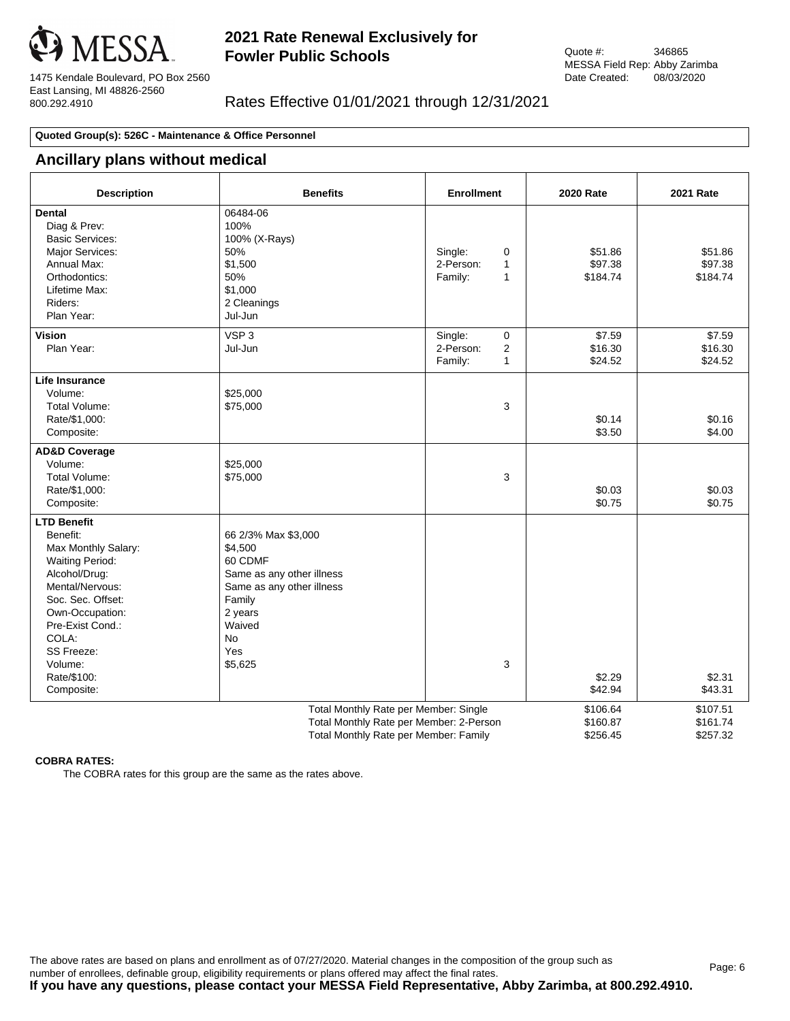

1475 Kendale Boulevard, PO Box 2560 East Lansing, MI 48826-2560 800.292.4910

## Rates Effective 01/01/2021 through 12/31/2021

### **Quoted Group(s): 526C - Maintenance & Office Personnel**

### **Ancillary plans without medical**

| <b>Description</b>                                                                                                                                                                                                                             | <b>Benefits</b>                                                                                                                                                   | <b>Enrollment</b>                                                     | <b>2020 Rate</b>                 | <b>2021 Rate</b>                 |
|------------------------------------------------------------------------------------------------------------------------------------------------------------------------------------------------------------------------------------------------|-------------------------------------------------------------------------------------------------------------------------------------------------------------------|-----------------------------------------------------------------------|----------------------------------|----------------------------------|
| <b>Dental</b><br>Diag & Prev:<br><b>Basic Services:</b><br>Major Services:<br>Annual Max:<br>Orthodontics:<br>Lifetime Max:<br>Riders:<br>Plan Year:                                                                                           | 06484-06<br>100%<br>100% (X-Rays)<br>50%<br>\$1,500<br>50%<br>\$1,000<br>2 Cleanings<br>Jul-Jun                                                                   | Single:<br>0<br>2-Person:<br>$\mathbf{1}$<br>Family:<br>1             | \$51.86<br>\$97.38<br>\$184.74   | \$51.86<br>\$97.38<br>\$184.74   |
| <b>Vision</b><br>Plan Year:                                                                                                                                                                                                                    | VSP <sub>3</sub><br>Jul-Jun                                                                                                                                       | Single:<br>$\mathbf 0$<br>2-Person:<br>$\overline{2}$<br>Family:<br>1 | \$7.59<br>\$16.30<br>\$24.52     | \$7.59<br>\$16.30<br>\$24.52     |
| <b>Life Insurance</b><br>Volume:<br>Total Volume:<br>Rate/\$1,000:<br>Composite:                                                                                                                                                               | \$25,000<br>\$75,000                                                                                                                                              | 3                                                                     | \$0.14<br>\$3.50                 | \$0.16<br>\$4.00                 |
| <b>AD&amp;D Coverage</b><br>Volume:<br>Total Volume:<br>Rate/\$1,000:<br>Composite:                                                                                                                                                            | \$25,000<br>\$75,000                                                                                                                                              | 3                                                                     | \$0.03<br>\$0.75                 | \$0.03<br>\$0.75                 |
| <b>LTD Benefit</b><br>Benefit:<br>Max Monthly Salary:<br><b>Waiting Period:</b><br>Alcohol/Drug:<br>Mental/Nervous:<br>Soc. Sec. Offset:<br>Own-Occupation:<br>Pre-Exist Cond.:<br>COLA:<br>SS Freeze:<br>Volume:<br>Rate/\$100:<br>Composite: | 66 2/3% Max \$3,000<br>\$4,500<br>60 CDMF<br>Same as any other illness<br>Same as any other illness<br>Family<br>2 years<br>Waived<br><b>No</b><br>Yes<br>\$5,625 | 3                                                                     | \$2.29<br>\$42.94                | \$2.31<br>\$43.31                |
|                                                                                                                                                                                                                                                | Total Monthly Rate per Member: Single<br>Total Monthly Rate per Member: 2-Person<br>Total Monthly Rate per Member: Family                                         |                                                                       | \$106.64<br>\$160.87<br>\$256.45 | \$107.51<br>\$161.74<br>\$257.32 |

#### **COBRA RATES:**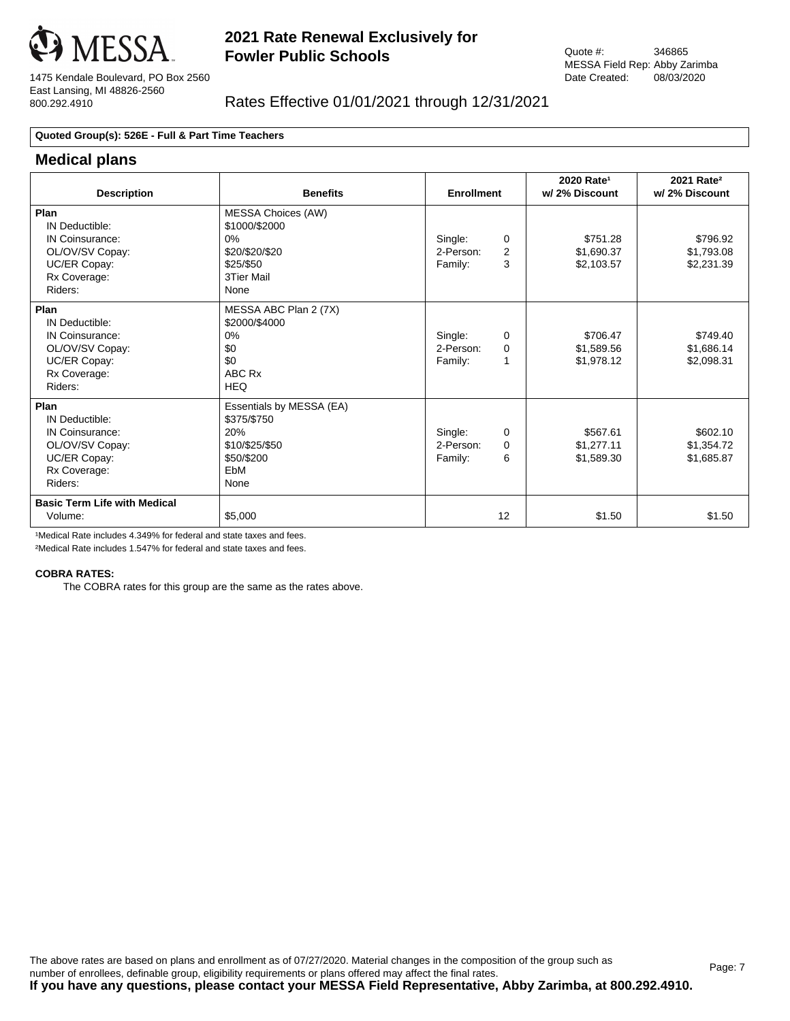

1475 Kendale Boulevard, PO Box 2560 East Lansing, MI 48826-2560 800.292.4910

## Rates Effective 01/01/2021 through 12/31/2021

### **Quoted Group(s): 526E - Full & Part Time Teachers**

### **Medical plans**

| <b>Description</b>                                                                                      | <b>Benefits</b>                                                                                          | <b>Enrollment</b>                                            | 2020 Rate <sup>1</sup><br>w/ 2% Discount | 2021 Rate <sup>2</sup><br>w/2% Discount |
|---------------------------------------------------------------------------------------------------------|----------------------------------------------------------------------------------------------------------|--------------------------------------------------------------|------------------------------------------|-----------------------------------------|
| Plan<br>IN Deductible:<br>IN Coinsurance:<br>OL/OV/SV Copay:<br>UC/ER Copay:<br>Rx Coverage:<br>Riders: | <b>MESSA Choices (AW)</b><br>\$1000/\$2000<br>$0\%$<br>\$20/\$20/\$20<br>\$25/\$50<br>3Tier Mail<br>None | Single:<br>0<br>$\overline{2}$<br>2-Person:<br>3<br>Family:  | \$751.28<br>\$1,690.37<br>\$2,103.57     | \$796.92<br>\$1,793.08<br>\$2,231.39    |
| Plan<br>IN Deductible:<br>IN Coinsurance:<br>OL/OV/SV Copay:<br>UC/ER Copay:<br>Rx Coverage:<br>Riders: | MESSA ABC Plan 2 (7X)<br>\$2000/\$4000<br>0%<br>\$0<br>\$0<br>ABC Rx<br><b>HEQ</b>                       | Single:<br>$\Omega$<br>2-Person:<br>$\Omega$<br>Family:<br>1 | \$706.47<br>\$1,589.56<br>\$1,978.12     | \$749.40<br>\$1,686.14<br>\$2,098.31    |
| Plan<br>IN Deductible:<br>IN Coinsurance:<br>OL/OV/SV Copay:<br>UC/ER Copay:<br>Rx Coverage:<br>Riders: | Essentials by MESSA (EA)<br>\$375/\$750<br>20%<br>\$10/\$25/\$50<br>\$50/\$200<br>EbM<br>None            | Single:<br>$\Omega$<br>2-Person:<br>$\Omega$<br>6<br>Family: | \$567.61<br>\$1,277.11<br>\$1,589.30     | \$602.10<br>\$1,354.72<br>\$1,685.87    |
| <b>Basic Term Life with Medical</b><br>Volume:                                                          | \$5,000                                                                                                  | 12                                                           | \$1.50                                   | \$1.50                                  |

<sup>1</sup>Medical Rate includes 4.349% for federal and state taxes and fees.

²Medical Rate includes 1.547% for federal and state taxes and fees.

#### **COBRA RATES:**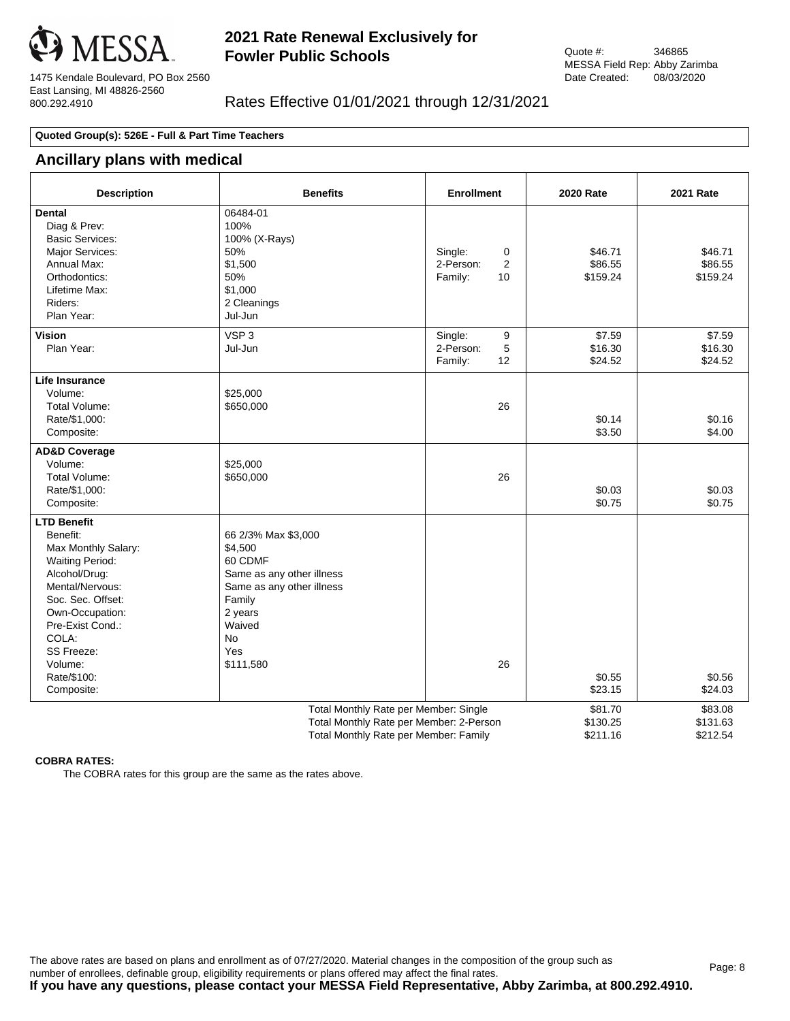

1475 Kendale Boulevard, PO Box 2560 East Lansing, MI 48826-2560 800.292.4910

## Rates Effective 01/01/2021 through 12/31/2021

### **Quoted Group(s): 526E - Full & Part Time Teachers**

## **Ancillary plans with medical**

| <b>Description</b>                                                                                                                                                                                                                             | <b>Benefits</b>                                                                                                                                                     | <b>Enrollment</b>                               | <b>2020 Rate</b>                | <b>2021 Rate</b>                |
|------------------------------------------------------------------------------------------------------------------------------------------------------------------------------------------------------------------------------------------------|---------------------------------------------------------------------------------------------------------------------------------------------------------------------|-------------------------------------------------|---------------------------------|---------------------------------|
| <b>Dental</b><br>Diag & Prev:<br><b>Basic Services:</b><br>Major Services:<br>Annual Max:<br>Orthodontics:<br>Lifetime Max:<br>Riders:<br>Plan Year:                                                                                           | 06484-01<br>100%<br>100% (X-Rays)<br>50%<br>\$1,500<br>50%<br>\$1,000<br>2 Cleanings<br>Jul-Jun                                                                     | Single:<br>0<br>2-Person:<br>2<br>Family:<br>10 | \$46.71<br>\$86.55<br>\$159.24  | \$46.71<br>\$86.55<br>\$159.24  |
| <b>Vision</b><br>Plan Year:                                                                                                                                                                                                                    | VSP <sub>3</sub><br>Jul-Jun                                                                                                                                         | Single:<br>9<br>2-Person:<br>5<br>12<br>Family: | \$7.59<br>\$16.30<br>\$24.52    | \$7.59<br>\$16.30<br>\$24.52    |
| Life Insurance<br>Volume:<br>Total Volume:<br>Rate/\$1,000:<br>Composite:                                                                                                                                                                      | \$25,000<br>\$650,000                                                                                                                                               | 26                                              | \$0.14<br>\$3.50                | \$0.16<br>\$4.00                |
| <b>AD&amp;D Coverage</b><br>Volume:<br><b>Total Volume:</b><br>Rate/\$1,000:<br>Composite:                                                                                                                                                     | \$25,000<br>\$650,000                                                                                                                                               | 26                                              | \$0.03<br>\$0.75                | \$0.03<br>\$0.75                |
| <b>LTD Benefit</b><br>Benefit:<br>Max Monthly Salary:<br><b>Waiting Period:</b><br>Alcohol/Drug:<br>Mental/Nervous:<br>Soc. Sec. Offset:<br>Own-Occupation:<br>Pre-Exist Cond.:<br>COLA:<br>SS Freeze:<br>Volume:<br>Rate/\$100:<br>Composite: | 66 2/3% Max \$3,000<br>\$4,500<br>60 CDMF<br>Same as any other illness<br>Same as any other illness<br>Family<br>2 years<br>Waived<br><b>No</b><br>Yes<br>\$111,580 | 26                                              | \$0.55<br>\$23.15               | \$0.56<br>\$24.03               |
|                                                                                                                                                                                                                                                | Total Monthly Rate per Member: Single<br>Total Monthly Rate per Member: 2-Person<br>Total Monthly Rate per Member: Family                                           |                                                 | \$81.70<br>\$130.25<br>\$211.16 | \$83.08<br>\$131.63<br>\$212.54 |

#### **COBRA RATES:**